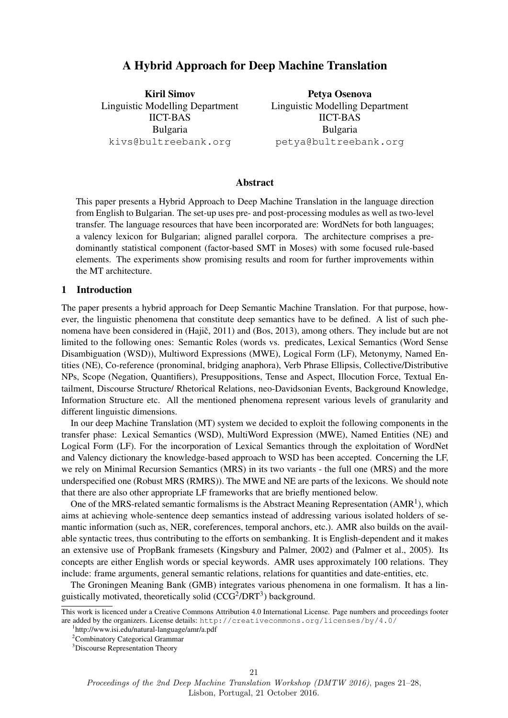# A Hybrid Approach for Deep Machine Translation

Kiril Simov Linguistic Modelling Department IICT-BAS Bulgaria kivs@bultreebank.org

Petya Osenova Linguistic Modelling Department IICT-BAS Bulgaria petya@bultreebank.org

# Abstract

This paper presents a Hybrid Approach to Deep Machine Translation in the language direction from English to Bulgarian. The set-up uses pre- and post-processing modules as well as two-level transfer. The language resources that have been incorporated are: WordNets for both languages; a valency lexicon for Bulgarian; aligned parallel corpora. The architecture comprises a predominantly statistical component (factor-based SMT in Moses) with some focused rule-based elements. The experiments show promising results and room for further improvements within the MT architecture.

#### 1 Introduction

The paper presents a hybrid approach for Deep Semantic Machine Translation. For that purpose, however, the linguistic phenomena that constitute deep semantics have to be defined. A list of such phenomena have been considered in (Hajič, 2011) and (Bos, 2013), among others. They include but are not limited to the following ones: Semantic Roles (words vs. predicates, Lexical Semantics (Word Sense Disambiguation (WSD)), Multiword Expressions (MWE), Logical Form (LF), Metonymy, Named Entities (NE), Co-reference (pronominal, bridging anaphora), Verb Phrase Ellipsis, Collective/Distributive NPs, Scope (Negation, Quantifiers), Presuppositions, Tense and Aspect, Illocution Force, Textual Entailment, Discourse Structure/ Rhetorical Relations, neo-Davidsonian Events, Background Knowledge, Information Structure etc. All the mentioned phenomena represent various levels of granularity and different linguistic dimensions.

In our deep Machine Translation (MT) system we decided to exploit the following components in the transfer phase: Lexical Semantics (WSD), MultiWord Expression (MWE), Named Entities (NE) and Logical Form (LF). For the incorporation of Lexical Semantics through the exploitation of WordNet and Valency dictionary the knowledge-based approach to WSD has been accepted. Concerning the LF, we rely on Minimal Recursion Semantics (MRS) in its two variants - the full one (MRS) and the more underspecified one (Robust MRS (RMRS)). The MWE and NE are parts of the lexicons. We should note that there are also other appropriate LF frameworks that are briefly mentioned below.

One of the MRS-related semantic formalisms is the Abstract Meaning Representation  $(AMR<sup>1</sup>)$ , which aims at achieving whole-sentence deep semantics instead of addressing various isolated holders of semantic information (such as, NER, coreferences, temporal anchors, etc.). AMR also builds on the available syntactic trees, thus contributing to the efforts on sembanking. It is English-dependent and it makes an extensive use of PropBank framesets (Kingsbury and Palmer, 2002) and (Palmer et al., 2005). Its concepts are either English words or special keywords. AMR uses approximately 100 relations. They include: frame arguments, general semantic relations, relations for quantities and date-entities, etc.

The Groningen Meaning Bank (GMB) integrates various phenomena in one formalism. It has a linguistically motivated, theoretically solid (CCG<sup>2</sup>/DRT<sup>3</sup>) background.

This work is licenced under a Creative Commons Attribution 4.0 International License. Page numbers and proceedings footer are added by the organizers. License details: http://creativecommons.org/licenses/by/4.0/

<sup>1</sup> http://www.isi.edu/natural-language/amr/a.pdf

<sup>2</sup>Combinatory Categorical Grammar

<sup>&</sup>lt;sup>3</sup>Discourse Representation Theory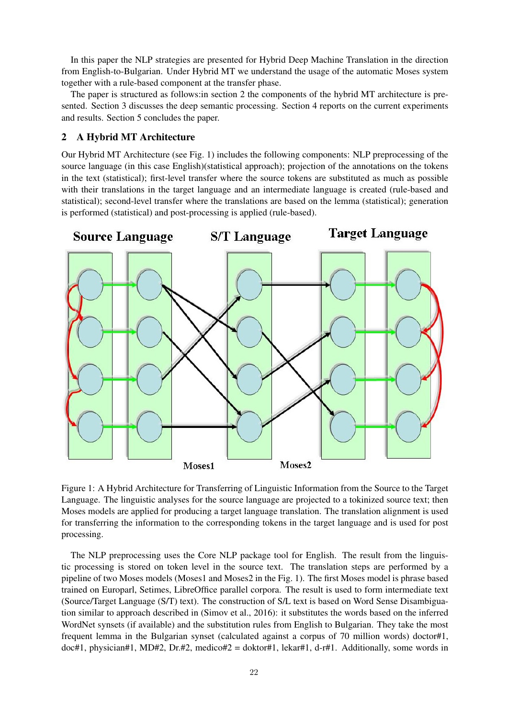In this paper the NLP strategies are presented for Hybrid Deep Machine Translation in the direction from English-to-Bulgarian. Under Hybrid MT we understand the usage of the automatic Moses system together with a rule-based component at the transfer phase.

The paper is structured as follows:in section 2 the components of the hybrid MT architecture is presented. Section 3 discusses the deep semantic processing. Section 4 reports on the current experiments and results. Section 5 concludes the paper.

# 2 A Hybrid MT Architecture

Our Hybrid MT Architecture (see Fig. 1) includes the following components: NLP preprocessing of the source language (in this case English)(statistical approach); projection of the annotations on the tokens in the text (statistical); first-level transfer where the source tokens are substituted as much as possible with their translations in the target language and an intermediate language is created (rule-based and statistical); second-level transfer where the translations are based on the lemma (statistical); generation is performed (statistical) and post-processing is applied (rule-based).



Figure 1: A Hybrid Architecture for Transferring of Linguistic Information from the Source to the Target Language. The linguistic analyses for the source language are projected to a tokinized source text; then Moses models are applied for producing a target language translation. The translation alignment is used for transferring the information to the corresponding tokens in the target language and is used for post processing.

The NLP preprocessing uses the Core NLP package tool for English. The result from the linguistic processing is stored on token level in the source text. The translation steps are performed by a pipeline of two Moses models (Moses1 and Moses2 in the Fig. 1). The first Moses model is phrase based trained on Europarl, Setimes, LibreOffice parallel corpora. The result is used to form intermediate text (Source/Target Language (S/T) text). The construction of S/L text is based on Word Sense Disambiguation similar to approach described in (Simov et al., 2016): it substitutes the words based on the inferred WordNet synsets (if available) and the substitution rules from English to Bulgarian. They take the most frequent lemma in the Bulgarian synset (calculated against a corpus of 70 million words) doctor#1, doc#1, physician#1, MD#2, Dr.#2, medico#2 = doktor#1, lekar#1, d-r#1. Additionally, some words in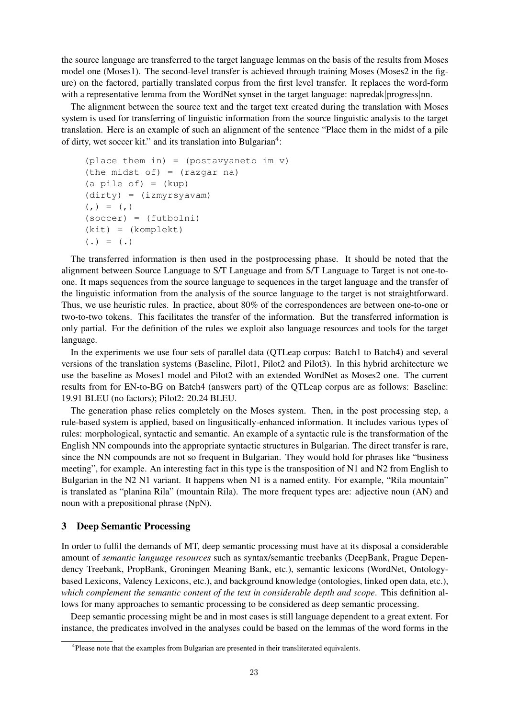the source language are transferred to the target language lemmas on the basis of the results from Moses model one (Moses1). The second-level transfer is achieved through training Moses (Moses2 in the figure) on the factored, partially translated corpus from the first level transfer. It replaces the word-form with a representative lemma from the WordNet synset in the target language: napredak|progress|nn.

The alignment between the source text and the target text created during the translation with Moses system is used for transferring of linguistic information from the source linguistic analysis to the target translation. Here is an example of such an alignment of the sentence "Place them in the midst of a pile of dirty, wet soccer kit." and its translation into Bulgarian<sup>4</sup>:

```
(place them in) = (postavyaneto im v)
(the midst of) = (\text{razqar na})(a \text{ pile of}) = (kup)(dirty) = (izmyrsyavam)
(, ) = (, )(soccer) = (futbolni)
(kit) = (komplekt)
( . ) = ( . )
```
The transferred information is then used in the postprocessing phase. It should be noted that the alignment between Source Language to S/T Language and from S/T Language to Target is not one-toone. It maps sequences from the source language to sequences in the target language and the transfer of the linguistic information from the analysis of the source language to the target is not straightforward. Thus, we use heuristic rules. In practice, about 80% of the correspondences are between one-to-one or two-to-two tokens. This facilitates the transfer of the information. But the transferred information is only partial. For the definition of the rules we exploit also language resources and tools for the target language.

In the experiments we use four sets of parallel data (QTLeap corpus: Batch1 to Batch4) and several versions of the translation systems (Baseline, Pilot1, Pilot2 and Pilot3). In this hybrid architecture we use the baseline as Moses1 model and Pilot2 with an extended WordNet as Moses2 one. The current results from for EN-to-BG on Batch4 (answers part) of the QTLeap corpus are as follows: Baseline: 19.91 BLEU (no factors); Pilot2: 20.24 BLEU.

The generation phase relies completely on the Moses system. Then, in the post processing step, a rule-based system is applied, based on lingusitically-enhanced information. It includes various types of rules: morphological, syntactic and semantic. An example of a syntactic rule is the transformation of the English NN compounds into the appropriate syntactic structures in Bulgarian. The direct transfer is rare, since the NN compounds are not so frequent in Bulgarian. They would hold for phrases like "business meeting", for example. An interesting fact in this type is the transposition of N1 and N2 from English to Bulgarian in the N2 N1 variant. It happens when N1 is a named entity. For example, "Rila mountain" is translated as "planina Rila" (mountain Rila). The more frequent types are: adjective noun (AN) and noun with a prepositional phrase (NpN).

# 3 Deep Semantic Processing

In order to fulfil the demands of MT, deep semantic processing must have at its disposal a considerable amount of *semantic language resources* such as syntax/semantic treebanks (DeepBank, Prague Dependency Treebank, PropBank, Groningen Meaning Bank, etc.), semantic lexicons (WordNet, Ontologybased Lexicons, Valency Lexicons, etc.), and background knowledge (ontologies, linked open data, etc.), *which complement the semantic content of the text in considerable depth and scope*. This definition allows for many approaches to semantic processing to be considered as deep semantic processing.

Deep semantic processing might be and in most cases is still language dependent to a great extent. For instance, the predicates involved in the analyses could be based on the lemmas of the word forms in the

<sup>&</sup>lt;sup>4</sup>Please note that the examples from Bulgarian are presented in their transliterated equivalents.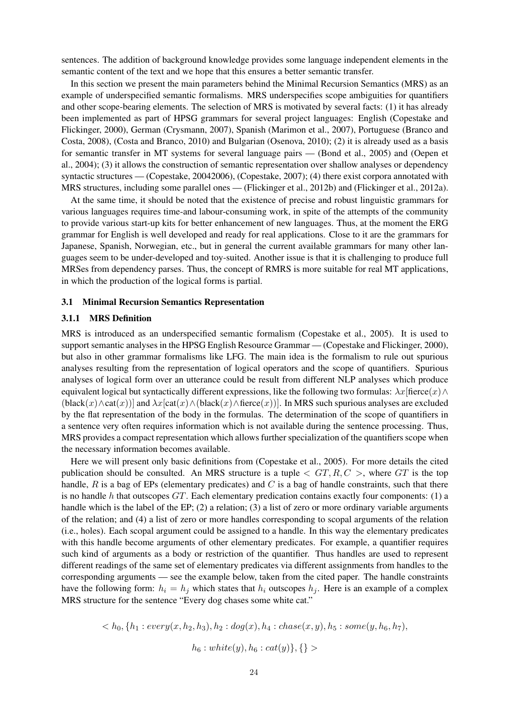sentences. The addition of background knowledge provides some language independent elements in the semantic content of the text and we hope that this ensures a better semantic transfer.

In this section we present the main parameters behind the Minimal Recursion Semantics (MRS) as an example of underspecified semantic formalisms. MRS underspecifies scope ambiguities for quantifiers and other scope-bearing elements. The selection of MRS is motivated by several facts: (1) it has already been implemented as part of HPSG grammars for several project languages: English (Copestake and Flickinger, 2000), German (Crysmann, 2007), Spanish (Marimon et al., 2007), Portuguese (Branco and Costa, 2008), (Costa and Branco, 2010) and Bulgarian (Osenova, 2010); (2) it is already used as a basis for semantic transfer in MT systems for several language pairs — (Bond et al., 2005) and (Oepen et al., 2004); (3) it allows the construction of semantic representation over shallow analyses or dependency syntactic structures — (Copestake, 20042006), (Copestake, 2007); (4) there exist corpora annotated with MRS structures, including some parallel ones — (Flickinger et al., 2012b) and (Flickinger et al., 2012a).

At the same time, it should be noted that the existence of precise and robust linguistic grammars for various languages requires time-and labour-consuming work, in spite of the attempts of the community to provide various start-up kits for better enhancement of new languages. Thus, at the moment the ERG grammar for English is well developed and ready for real applications. Close to it are the grammars for Japanese, Spanish, Norwegian, etc., but in general the current available grammars for many other languages seem to be under-developed and toy-suited. Another issue is that it is challenging to produce full MRSes from dependency parses. Thus, the concept of RMRS is more suitable for real MT applications, in which the production of the logical forms is partial.

### 3.1 Minimal Recursion Semantics Representation

### 3.1.1 MRS Definition

MRS is introduced as an underspecified semantic formalism (Copestake et al., 2005). It is used to support semantic analyses in the HPSG English Resource Grammar — (Copestake and Flickinger, 2000), but also in other grammar formalisms like LFG. The main idea is the formalism to rule out spurious analyses resulting from the representation of logical operators and the scope of quantifiers. Spurious analyses of logical form over an utterance could be result from different NLP analyses which produce equivalent logical but syntactically different expressions, like the following two formulas:  $\lambda x$ [fierce(x)∧  $(\text{black}(x) \wedge \text{cat}(x))$  and  $\lambda x[\text{cat}(x) \wedge (\text{black}(x) \wedge \text{fere}(x))]$ . In MRS such spurious analyses are excluded by the flat representation of the body in the formulas. The determination of the scope of quantifiers in a sentence very often requires information which is not available during the sentence processing. Thus, MRS provides a compact representation which allows further specialization of the quantifiers scope when the necessary information becomes available.

Here we will present only basic definitions from (Copestake et al., 2005). For more details the cited publication should be consulted. An MRS structure is a tuple  $\langle GT, R, C \rangle$ , where GT is the top handle,  $R$  is a bag of EPs (elementary predicates) and  $C$  is a bag of handle constraints, such that there is no handle h that outscopes  $GT$ . Each elementary predication contains exactly four components: (1) a handle which is the label of the EP; (2) a relation; (3) a list of zero or more ordinary variable arguments of the relation; and (4) a list of zero or more handles corresponding to scopal arguments of the relation (i.e., holes). Each scopal argument could be assigned to a handle. In this way the elementary predicates with this handle become arguments of other elementary predicates. For example, a quantifier requires such kind of arguments as a body or restriction of the quantifier. Thus handles are used to represent different readings of the same set of elementary predicates via different assignments from handles to the corresponding arguments — see the example below, taken from the cited paper. The handle constraints have the following form:  $h_i = h_j$  which states that  $h_i$  outscopes  $h_j$ . Here is an example of a complex MRS structure for the sentence "Every dog chases some white cat."

$$

$$

$$
h_6: white(y), h_6:cat(y)\},\{\} >
$$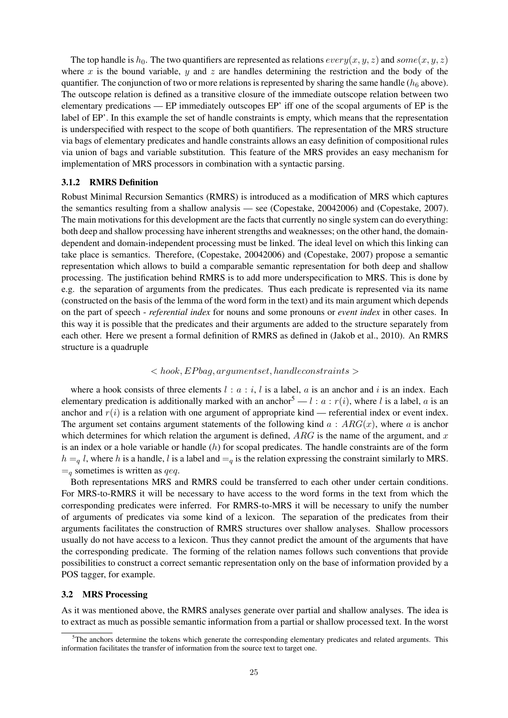The top handle is  $h_0$ . The two quantifiers are represented as relations  $every(x, y, z)$  and  $some(x, y, z)$ where x is the bound variable, y and z are handles determining the restriction and the body of the quantifier. The conjunction of two or more relations is represented by sharing the same handle ( $h<sub>6</sub>$  above). The outscope relation is defined as a transitive closure of the immediate outscope relation between two elementary predications — EP immediately outscopes EP' iff one of the scopal arguments of EP is the label of EP'. In this example the set of handle constraints is empty, which means that the representation is underspecified with respect to the scope of both quantifiers. The representation of the MRS structure via bags of elementary predicates and handle constraints allows an easy definition of compositional rules via union of bags and variable substitution. This feature of the MRS provides an easy mechanism for implementation of MRS processors in combination with a syntactic parsing.

### 3.1.2 RMRS Definition

Robust Minimal Recursion Semantics (RMRS) is introduced as a modification of MRS which captures the semantics resulting from a shallow analysis — see (Copestake, 20042006) and (Copestake, 2007). The main motivations for this development are the facts that currently no single system can do everything: both deep and shallow processing have inherent strengths and weaknesses; on the other hand, the domaindependent and domain-independent processing must be linked. The ideal level on which this linking can take place is semantics. Therefore, (Copestake, 20042006) and (Copestake, 2007) propose a semantic representation which allows to build a comparable semantic representation for both deep and shallow processing. The justification behind RMRS is to add more underspecification to MRS. This is done by e.g. the separation of arguments from the predicates. Thus each predicate is represented via its name (constructed on the basis of the lemma of the word form in the text) and its main argument which depends on the part of speech - *referential index* for nouns and some pronouns or *event index* in other cases. In this way it is possible that the predicates and their arguments are added to the structure separately from each other. Here we present a formal definition of RMRS as defined in (Jakob et al., 2010). An RMRS structure is a quadruple

### $\langle$  hook, EP bag, arguments et, handleconstraints  $\langle$

where a hook consists of three elements  $l : a : i, l$  is a label, a is an anchor and i is an index. Each elementary predication is additionally marked with an anchor<sup>5</sup> — l : a :  $r(i)$ , where l is a label, a is an anchor and  $r(i)$  is a relation with one argument of appropriate kind — referential index or event index. The argument set contains argument statements of the following kind  $a : ARG(x)$ , where a is anchor which determines for which relation the argument is defined,  $ARG$  is the name of the argument, and x is an index or a hole variable or handle  $(h)$  for scopal predicates. The handle constraints are of the form  $h = q l$ , where h is a handle, l is a label and  $=q$  is the relation expressing the constraint similarly to MRS.  $=$ <sub>a</sub> sometimes is written as *qeq*.

Both representations MRS and RMRS could be transferred to each other under certain conditions. For MRS-to-RMRS it will be necessary to have access to the word forms in the text from which the corresponding predicates were inferred. For RMRS-to-MRS it will be necessary to unify the number of arguments of predicates via some kind of a lexicon. The separation of the predicates from their arguments facilitates the construction of RMRS structures over shallow analyses. Shallow processors usually do not have access to a lexicon. Thus they cannot predict the amount of the arguments that have the corresponding predicate. The forming of the relation names follows such conventions that provide possibilities to construct a correct semantic representation only on the base of information provided by a POS tagger, for example.

#### 3.2 MRS Processing

As it was mentioned above, the RMRS analyses generate over partial and shallow analyses. The idea is to extract as much as possible semantic information from a partial or shallow processed text. In the worst

 $5$ The anchors determine the tokens which generate the corresponding elementary predicates and related arguments. This information facilitates the transfer of information from the source text to target one.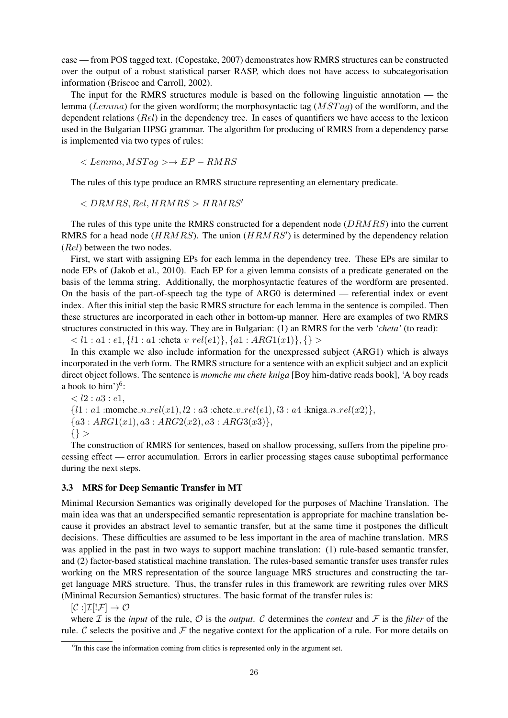case — from POS tagged text. (Copestake, 2007) demonstrates how RMRS structures can be constructed over the output of a robust statistical parser RASP, which does not have access to subcategorisation information (Briscoe and Carroll, 2002).

The input for the RMRS structures module is based on the following linguistic annotation — the lemma (Lemma) for the given wordform; the morphosyntactic tag  $(MSTag)$  of the wordform, and the dependent relations (Rel) in the dependency tree. In cases of quantifiers we have access to the lexicon used in the Bulgarian HPSG grammar. The algorithm for producing of RMRS from a dependency parse is implemented via two types of rules:

$$
\rightarrow EP-RMRS
$$

The rules of this type produce an RMRS structure representing an elementary predicate.

 $\langle$  DRMRS, Rel, HRMRS  $>$  HRMRS'

The rules of this type unite the RMRS constructed for a dependent node (DRMRS) into the current RMRS for a head node ( $HRMRS$ ). The union ( $HRMRS'$ ) is determined by the dependency relation (Rel) between the two nodes.

First, we start with assigning EPs for each lemma in the dependency tree. These EPs are similar to node EPs of (Jakob et al., 2010). Each EP for a given lemma consists of a predicate generated on the basis of the lemma string. Additionally, the morphosyntactic features of the wordform are presented. On the basis of the part-of-speech tag the type of ARG0 is determined — referential index or event index. After this initial step the basic RMRS structure for each lemma in the sentence is compiled. Then these structures are incorporated in each other in bottom-up manner. Here are examples of two RMRS structures constructed in this way. They are in Bulgarian: (1) an RMRS for the verb *'cheta'* (to read):

 $< l1 : a1 : e1, \{l1 : a1 : \text{checka\_}v\_rel(e1)\}, \{a1 : ARG1(x1)\}, \{\} >$ 

In this example we also include information for the unexpressed subject (ARG1) which is always incorporated in the verb form. The RMRS structure for a sentence with an explicit subject and an explicit direct object follows. The sentence is *momche mu chete kniga* [Boy him-dative reads book], 'A boy reads a book to him' $)^{6}$ :

 $< l2 : a3 : e1,$  ${l1 : a1 :}$ momche\_n\_rel(x1), l2 : a3 :chete\_v\_rel(e1), l3 : a4 :kniga\_n\_rel(x2) },  ${a3 : ARG1(x1), a3 : ARG2(x2), a3 : ARG3(x3)},$  $\{\}$ 

The construction of RMRS for sentences, based on shallow processing, suffers from the pipeline processing effect — error accumulation. Errors in earlier processing stages cause suboptimal performance during the next steps.

### 3.3 MRS for Deep Semantic Transfer in MT

Minimal Recursion Semantics was originally developed for the purposes of Machine Translation. The main idea was that an underspecified semantic representation is appropriate for machine translation because it provides an abstract level to semantic transfer, but at the same time it postpones the difficult decisions. These difficulties are assumed to be less important in the area of machine translation. MRS was applied in the past in two ways to support machine translation: (1) rule-based semantic transfer, and (2) factor-based statistical machine translation. The rules-based semantic transfer uses transfer rules working on the MRS representation of the source language MRS structures and constructing the target language MRS structure. Thus, the transfer rules in this framework are rewriting rules over MRS (Minimal Recursion Semantics) structures. The basic format of the transfer rules is:

 $[\mathcal{C}:]\mathcal{I}][\mathcal{F}]\to\mathcal{O}$ 

where  $I$  is the *input* of the rule,  $O$  is the *output*. C determines the *context* and  $F$  is the *filter* of the rule. C selects the positive and  $\mathcal F$  the negative context for the application of a rule. For more details on

<sup>&</sup>lt;sup>6</sup>In this case the information coming from clitics is represented only in the argument set.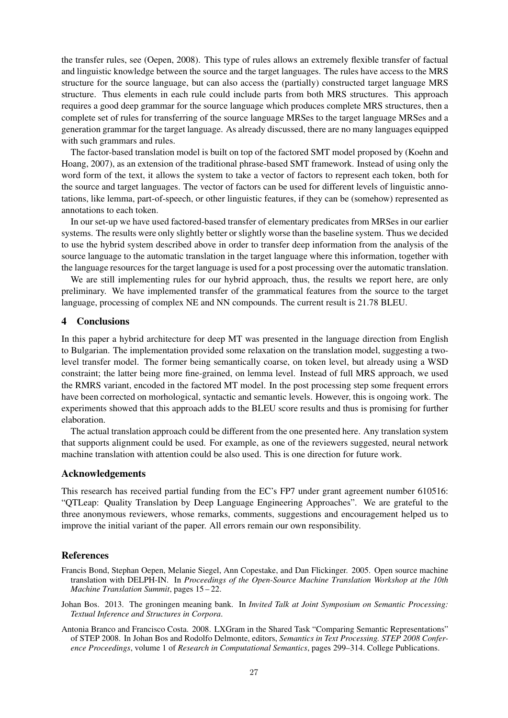the transfer rules, see (Oepen, 2008). This type of rules allows an extremely flexible transfer of factual and linguistic knowledge between the source and the target languages. The rules have access to the MRS structure for the source language, but can also access the (partially) constructed target language MRS structure. Thus elements in each rule could include parts from both MRS structures. This approach requires a good deep grammar for the source language which produces complete MRS structures, then a complete set of rules for transferring of the source language MRSes to the target language MRSes and a generation grammar for the target language. As already discussed, there are no many languages equipped with such grammars and rules.

The factor-based translation model is built on top of the factored SMT model proposed by (Koehn and Hoang, 2007), as an extension of the traditional phrase-based SMT framework. Instead of using only the word form of the text, it allows the system to take a vector of factors to represent each token, both for the source and target languages. The vector of factors can be used for different levels of linguistic annotations, like lemma, part-of-speech, or other linguistic features, if they can be (somehow) represented as annotations to each token.

In our set-up we have used factored-based transfer of elementary predicates from MRSes in our earlier systems. The results were only slightly better or slightly worse than the baseline system. Thus we decided to use the hybrid system described above in order to transfer deep information from the analysis of the source language to the automatic translation in the target language where this information, together with the language resources for the target language is used for a post processing over the automatic translation.

We are still implementing rules for our hybrid approach, thus, the results we report here, are only preliminary. We have implemented transfer of the grammatical features from the source to the target language, processing of complex NE and NN compounds. The current result is 21.78 BLEU.

### 4 Conclusions

In this paper a hybrid architecture for deep MT was presented in the language direction from English to Bulgarian. The implementation provided some relaxation on the translation model, suggesting a twolevel transfer model. The former being semantically coarse, on token level, but already using a WSD constraint; the latter being more fine-grained, on lemma level. Instead of full MRS approach, we used the RMRS variant, encoded in the factored MT model. In the post processing step some frequent errors have been corrected on morhological, syntactic and semantic levels. However, this is ongoing work. The experiments showed that this approach adds to the BLEU score results and thus is promising for further elaboration.

The actual translation approach could be different from the one presented here. Any translation system that supports alignment could be used. For example, as one of the reviewers suggested, neural network machine translation with attention could be also used. This is one direction for future work.

### Acknowledgements

This research has received partial funding from the EC's FP7 under grant agreement number 610516: "QTLeap: Quality Translation by Deep Language Engineering Approaches". We are grateful to the three anonymous reviewers, whose remarks, comments, suggestions and encouragement helped us to improve the initial variant of the paper. All errors remain our own responsibility.

# References

- Francis Bond, Stephan Oepen, Melanie Siegel, Ann Copestake, and Dan Flickinger. 2005. Open source machine translation with DELPH-IN. In *Proceedings of the Open-Source Machine Translation Workshop at the 10th Machine Translation Summit*, pages 15 – 22.
- Johan Bos. 2013. The groningen meaning bank. In *Invited Talk at Joint Symposium on Semantic Processing: Textual Inference and Structures in Corpora*.
- Antonia Branco and Francisco Costa. 2008. LXGram in the Shared Task "Comparing Semantic Representations" of STEP 2008. In Johan Bos and Rodolfo Delmonte, editors, *Semantics in Text Processing. STEP 2008 Conference Proceedings*, volume 1 of *Research in Computational Semantics*, pages 299–314. College Publications.